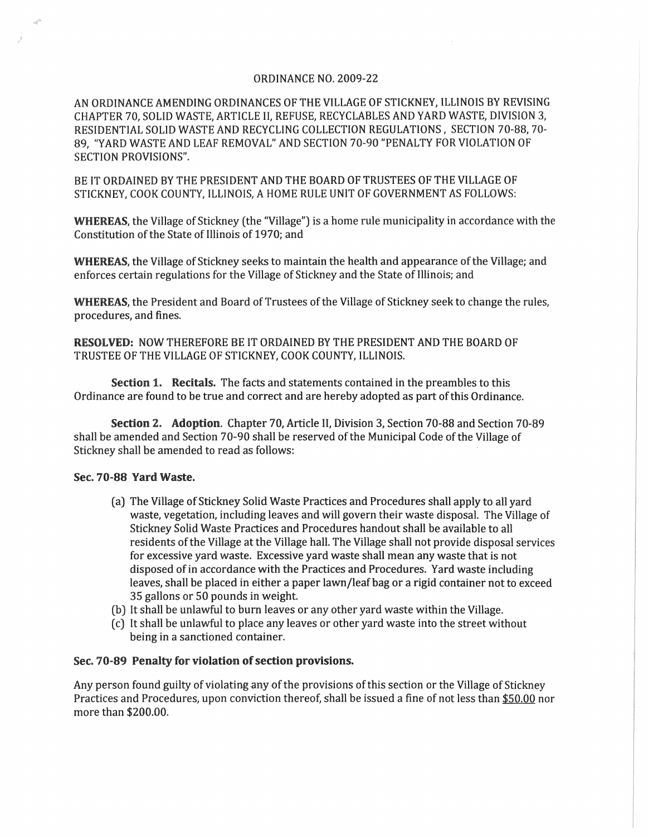## ORDINANCE NO. 2009·22

AN ORDINANCE AMENDING ORDINANCES OF THE VILLAGE OF STICKNEY, ILLINOIS BY REVISING CHAPTER 70, SOLID WASTE, ARTICLE II, REFUSE, RECYCLABLES AND YARD WASTE, DIViSION 3, RESIDENTIAL SOLID WASTE AND RECYCLING COLLECTION REGULATIONS, SECTION 70-88, 70-89, "YARD WASTE AND LEAF REMOVAL" AND SECTION 70-90 "PENALTY FOR VIOLATION OF SECTION PROVISIONS".

BE IT ORDAINED BY THE PRESIDENT AND THE BOARD OF TRUSTEES OF THE VILLAGE OF STICKNEY, COOK COUNTY, ILLINOIS, A HOME RULE UNIT OF GOVERNMENT AS FOLLOWS:

WHEREAS, the Village of Stickney (the "Village") is a home rule municipality in accordance with the Constitution of the State of Illinois of 1970; and

WHEREAS, the Village of Stickney seeks to maintain the health and appearance of the Village; and enforces certain regulations for the Village of Stickney and the State of Illinois; and

WHEREAS, the President and Board of Trustees of the Village of Stickney seek to change the rules, procedures, and fines.

RESOLVED: NOW THEREFORE BE IT ORDAINED BY THE PRESIDENT AND THE BOARD OF TRUSTEE OF THE VILLAGE OF STICKNEY, COOK COUNTY, ILLINOIS.

Section 1. Recitals. The facts and statements contained in the preambles to this Ordinance are found to be true and correct and are hereby adopted as part of this Ordinance.

Section 2. Adoption. Chapter 70, Article II, Division 3, Section 70-88 and Section 70-89 shall be amended and Section 70-90 shall be reserved of the Municipal Code of the Village of Stickney shall be amended to read as follows:

## Sec. 70-88 Yard Waste.

- (a) The Village of Stickney Solid Waste Practices and Procedures shall apply to all yard waste, vegetation, induding leaves and will govern their waste disposal. The Village of Stickney Solid Waste Practices and Procedures handout shall be available to all residents of the Village at the Village hall. The Village shall not provide disposal services for excessive yard waste. Excessive yard waste shall mean any waste that is not disposed of in accordance with the Practices and Procedures. Yard waste induding leaves, shall be placed in either a paper lawn/leaf bag or a rigid container not to exceed 35 gallons or 50 pounds in weight.
- (b) It shall be unlawful to burn leaves or any other yard waste within the Village.
- ec) It shall be unlawful to place any leaves or other yard waste into the street without being in a sanctioned container.

## Sec, 70-89 Penalty for violation of section provisions.

Any person found guilty of violating any of the provisions of this section or the Village of Stickney Practices and Procedures, upon conviction thereof; shall be issued a fine of not less than \$50.00 nor more than \$200.00.